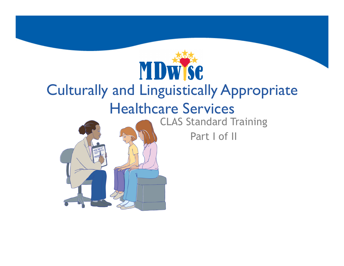

# Culturally and Linguistically Appropriate Healthcare Services



CLAS Standard Training

Part I of II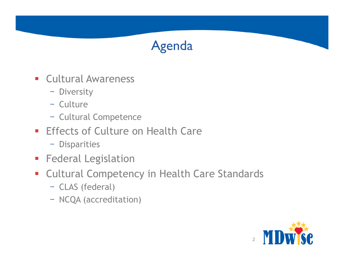#### Agenda

- **Cultural Awareness** 
	- Diversity
	- Culture
	- Cultural Competence
- **Effects of Culture on Health Care** 
	- Disparities
- **Federal Legislation**
- Cultural Competency in Health Care Standards
	- CLAS (federal)
	- NCQA (accreditation)

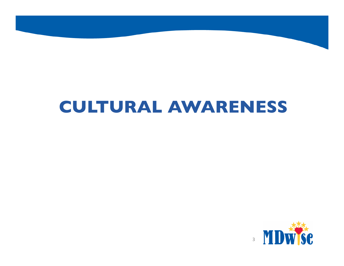## **CULTURAL AWARENESS**

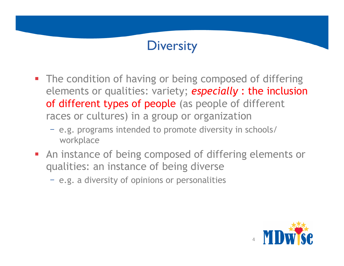#### **Diversity**

- The condition of having or being composed of differing elements or qualities: variety; *especially* : the inclusion of different types of people (as people of different races or cultures) in a group or organization
	- e.g. programs intended to promote diversity in schools/ workplace
- **An instance of being composed of differing elements or** qualities: an instance of being diverse
	- e.g. a diversity of opinions or personalities

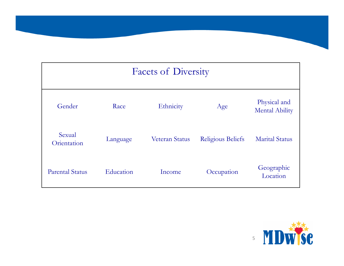# Facets of Diversity Gender Race Ethnicity Age Physical and Reflection Race Physical and Mental Ability Sexual Orientation Language Veteran Status Religious Beliefs Marital Status Parental Status Education Income Occupation Geographic Location

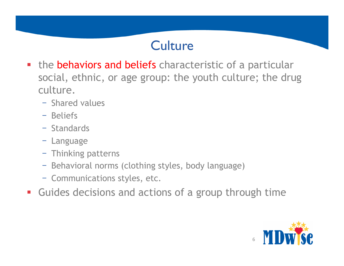#### **Culture**

- **the behaviors and beliefs** characteristic of a particular social, ethnic, or age group: the youth culture; the drug culture.
	- Shared values
	- Beliefs
	- Standards
	- Language
	- Thinking patterns
	- Behavioral norms (clothing styles, body language)
	- Communications styles, etc.
- Guides decisions and actions of a group through time

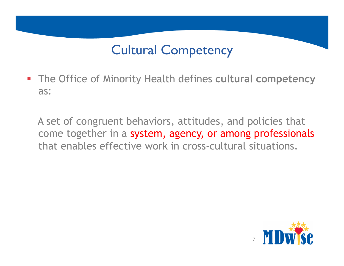### Cultural Competency

§ The Office of Minority Health defines **cultural competency**  as:

A set of congruent behaviors, attitudes, and policies that come together in a system, agency, or among professionals that enables effective work in cross-cultural situations.

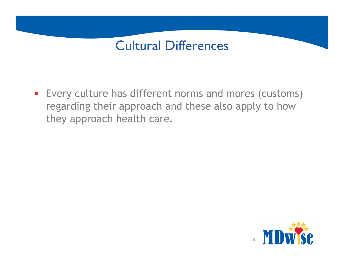#### Cultural Differences

■ Every culture has different norms and mores (customs) regarding their approach and these also apply to how they approach health care.

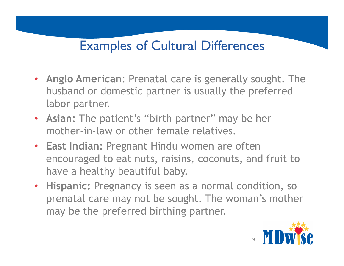#### Examples of Cultural Differences

- **Anglo American**: Prenatal care is generally sought. The husband or domestic partner is usually the preferred labor partner.
- **Asian:** The patient's "birth partner" may be her mother-in-law or other female relatives.
- **East Indian:** Pregnant Hindu women are often encouraged to eat nuts, raisins, coconuts, and fruit to have a healthy beautiful baby.
- **Hispanic:** Pregnancy is seen as a normal condition, so prenatal care may not be sought. The woman's mother may be the preferred birthing partner.

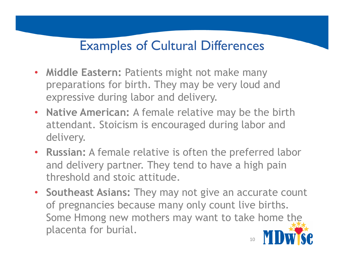#### Examples of Cultural Differences

- **Middle Eastern:** Patients might not make many preparations for birth. They may be very loud and expressive during labor and delivery.
- **Native American:** A female relative may be the birth attendant. Stoicism is encouraged during labor and delivery.
- **Russian:** A female relative is often the preferred labor and delivery partner. They tend to have a high pain threshold and stoic attitude.
- **Southeast Asians:** They may not give an accurate count of pregnancies because many only count live births. Some Hmong new mothers may want to take home the placenta for burial. 10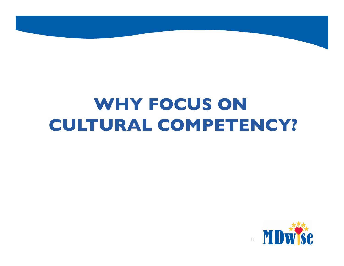# **WHY FOCUS ON CULTURAL COMPETENCY?**

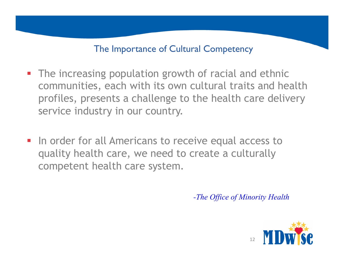#### The Importance of Cultural Competency

- The increasing population growth of racial and ethnic communities, each with its own cultural traits and health profiles, presents a challenge to the health care delivery service industry in our country.
- **In order for all Americans to receive equal access to** quality health care, we need to create a culturally competent health care system.

*-The Office of Minority Health* 

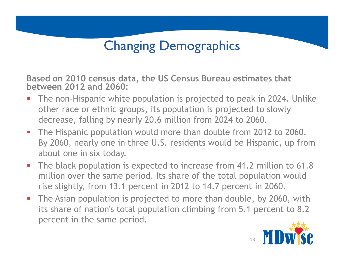### Changing Demographics

**Based on 2010 census data, the US Census Bureau estimates that between 2012 and 2060:** 

- The non-Hispanic white population is projected to peak in 2024. Unlike other race or ethnic groups, its population is projected to slowly decrease, falling by nearly 20.6 million from 2024 to 2060.
- The Hispanic population would more than double from 2012 to 2060. By 2060, nearly one in three U.S. residents would be Hispanic, up from about one in six today.
- § The black population is expected to increase from 41.2 million to 61.8 million over the same period. Its share of the total population would rise slightly, from 13.1 percent in 2012 to 14.7 percent in 2060.
- The Asian population is projected to more than double, by 2060, with its share of nation's total population climbing from 5.1 percent to 8.2 percent in the same period.

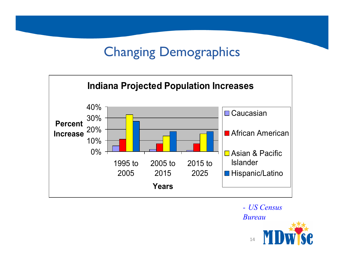### Changing Demographics



*- US Census Bureau* 

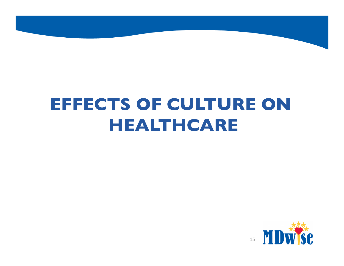# **EFFECTS OF CULTURE ON HEALTHCARE**

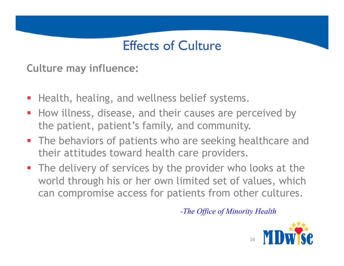#### Effects of Culture

**Culture may influence:** 

- Health, healing, and wellness belief systems.
- § How illness, disease, and their causes are perceived by the patient, patient's family, and community.
- **The behaviors of patients who are seeking healthcare and** their attitudes toward health care providers.
- **•** The delivery of services by the provider who looks at the world through his or her own limited set of values, which can compromise access for patients from other cultures.

*-The Office of Minority Health* 

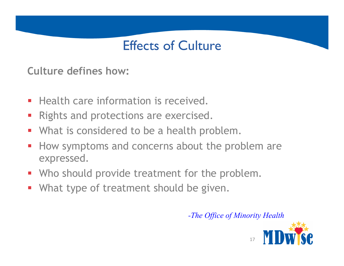#### Effects of Culture

**Culture defines how:** 

- **Health care information is received.**
- Rights and protections are exercised.
- What is considered to be a health problem.
- How symptoms and concerns about the problem are expressed.
- Who should provide treatment for the problem.
- What type of treatment should be given.

*-The Office of Minority Health* 

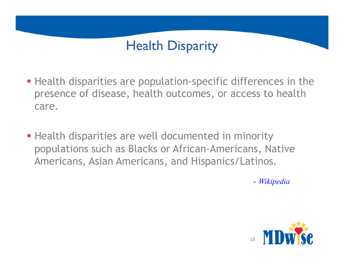### Health Disparity

- Health disparities are population-specific differences in the presence of disease, health outcomes, or access to health care.
- **Health disparities are well documented in minority** populations such as Blacks or African-Americans, Native Americans, Asian Americans, and Hispanics/Latinos.

- *Wikipedia* 

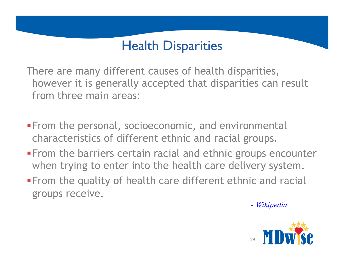#### Health Disparities

There are many different causes of health disparities, however it is generally accepted that disparities can result from three main areas:

- **From the personal, socioeconomic, and environmental** characteristics of different ethnic and racial groups.
- **From the barriers certain racial and ethnic groups encounter** when trying to enter into the health care delivery system.
- **From the quality of health care different ethnic and racial** groups receive.

*- Wikipedia* 

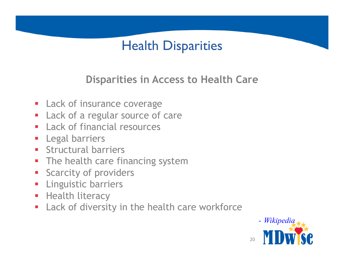#### Health Disparities

#### **Disparities in Access to Health Care**

- **Lack of insurance coverage**
- Lack of a regular source of care
- Lack of financial resources
- **E** Legal barriers
- **E** Structural barriers
- The health care financing system
- **Scarcity of providers**
- **E** Linguistic barriers
- **Health literacy**
- **Lack of diversity in the health care workforce**

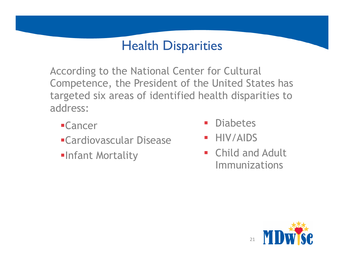#### Health Disparities

According to the National Center for Cultural Competence, the President of the United States has targeted six areas of identified health disparities to address:

- §Cancer
- §Cardiovascular Disease
- §Infant Mortality
- § Diabetes
- § HIV/AIDS
- **E** Child and Adult Immunizations

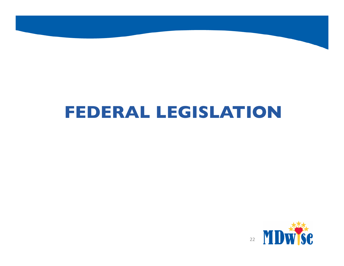## **FEDERAL LEGISLATION**

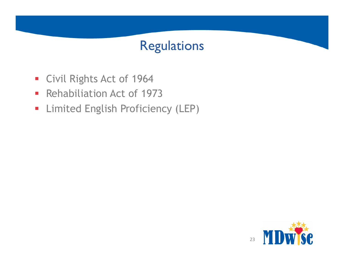#### Regulations

- § Civil Rights Act of 1964
- § Rehabiliation Act of 1973
- **Limited English Proficiency (LEP)**

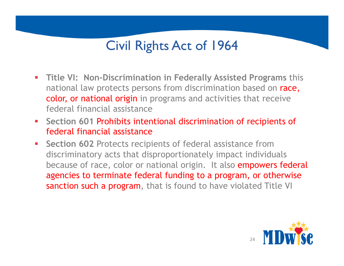#### Civil Rights Act of 1964

- § **Title VI: Non-Discrimination in Federally Assisted Programs** this national law protects persons from discrimination based on race, color, or national origin in programs and activities that receive federal financial assistance
- § **Section 601** Prohibits intentional discrimination of recipients of federal financial assistance
- **Section 602 Protects recipients of federal assistance from** discriminatory acts that disproportionately impact individuals because of race, color or national origin. It also empowers federal agencies to terminate federal funding to a program, or otherwise sanction such a program, that is found to have violated Title VI

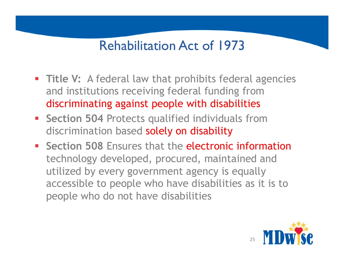#### Rehabilitation Act of 1973

- **Title V:** A federal law that prohibits federal agencies and institutions receiving federal funding from discriminating against people with disabilities
- **Section 504 Protects qualified individuals from** discrimination based solely on disability
- **Section 508 Ensures that the electronic information** technology developed, procured, maintained and utilized by every government agency is equally accessible to people who have disabilities as it is to people who do not have disabilities

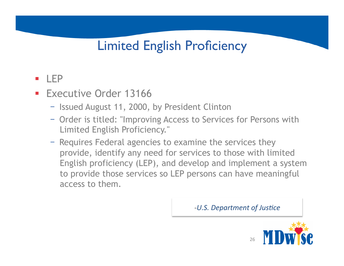#### Limited English Proficiency

#### § LEP

- Executive Order 13166
	- Issued August 11, 2000, by President Clinton
	- Order is titled: "Improving Access to Services for Persons with Limited English Proficiency."
	- Requires Federal agencies to examine the services they provide, identify any need for services to those with limited English proficiency (LEP), and develop and implement a system to provide those services so LEP persons can have meaningful access to them.

*-U.S. Department of Justice* 

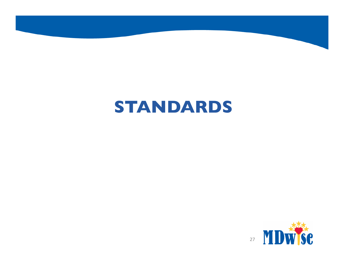## **STANDARDS**

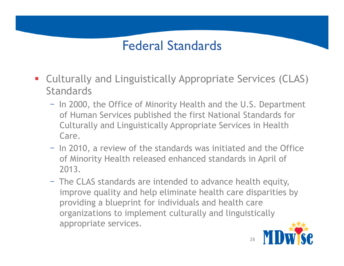#### Federal Standards

- Culturally and Linguistically Appropriate Services (CLAS) **Standards** 
	- In 2000, the Office of Minority Health and the U.S. Department of Human Services published the first National Standards for Culturally and Linguistically Appropriate Services in Health Care.
	- In 2010, a review of the standards was initiated and the Office of Minority Health released enhanced standards in April of 2013.
	- The CLAS standards are intended to advance health equity, improve quality and help eliminate health care disparities by providing a blueprint for individuals and health care organizations to implement culturally and linguistically appropriate services.

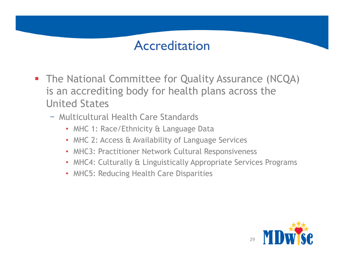#### Accreditation

- The National Committee for Quality Assurance (NCQA) is an accrediting body for health plans across the United States
	- Multicultural Health Care Standards
		- MHC 1: Race/Ethnicity & Language Data
		- MHC 2: Access & Availability of Language Services
		- MHC3: Practitioner Network Cultural Responsiveness
		- MHC4: Culturally & Linguistically Appropriate Services Programs
		- MHC5: Reducing Health Care Disparities